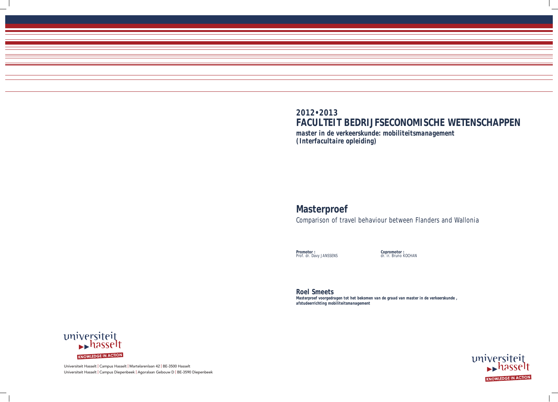Universiteit Hasselt | Campus Hasselt | Martelarenlaan 42 | BE-3500 Hasselt Universiteit Hasselt | Campus Diepenbeek | Agoralaan Gebouw D | BE-3590 Diepenbeek

# **2012•2013**

# **FACULTEIT BEDRIJFSECONOMISCHE WETENSCHAPPEN**

*master in de verkeerskunde: mobiliteitsmanagement (Interfacultaire opleiding)*

# **Masterproef**

Comparison of travel behaviour between Flanders and Wallonia

**Promotor :** Prof. dr. Davy JANSSENS **Copromotor :** dr. ir. Bruno KOCHAN



**Roel Smeets**  *Masterproef voorgedragen tot het bekomen van de graad van master in de verkeerskunde , afstudeerrichting mobiliteitsmanagement*

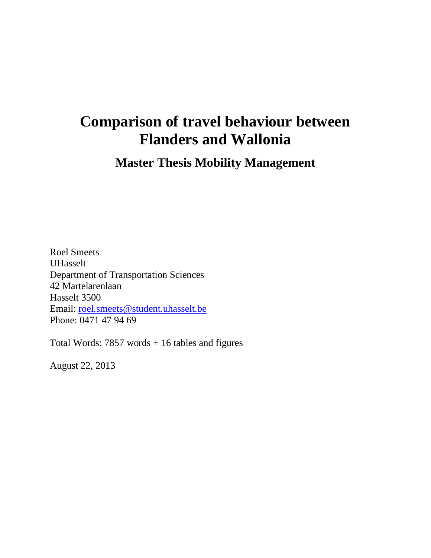# **Comparison of travel behaviour between Flanders and Wallonia**

**Master Thesis Mobility Management**

Roel Smeets UHasselt Department of Transportation Sciences 42 Martelarenlaan Hasselt 3500 Email: [roel.smeets@student.uhasselt.be](mailto:roel.smeets@student.uhasselt.be) Phone: 0471 47 94 69

Total Words: 7857 words + 16 tables and figures

August 22, 2013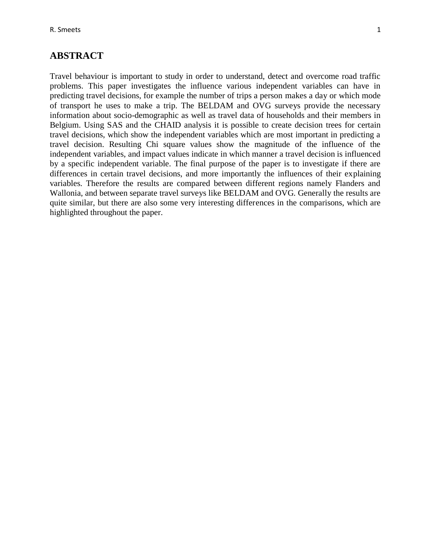#### **ABSTRACT**

Travel behaviour is important to study in order to understand, detect and overcome road traffic problems. This paper investigates the influence various independent variables can have in predicting travel decisions, for example the number of trips a person makes a day or which mode of transport he uses to make a trip. The BELDAM and OVG surveys provide the necessary information about socio-demographic as well as travel data of households and their members in Belgium. Using SAS and the CHAID analysis it is possible to create decision trees for certain travel decisions, which show the independent variables which are most important in predicting a travel decision. Resulting Chi square values show the magnitude of the influence of the independent variables, and impact values indicate in which manner a travel decision is influenced by a specific independent variable. The final purpose of the paper is to investigate if there are differences in certain travel decisions, and more importantly the influences of their explaining variables. Therefore the results are compared between different regions namely Flanders and Wallonia, and between separate travel surveys like BELDAM and OVG. Generally the results are quite similar, but there are also some very interesting differences in the comparisons, which are highlighted throughout the paper.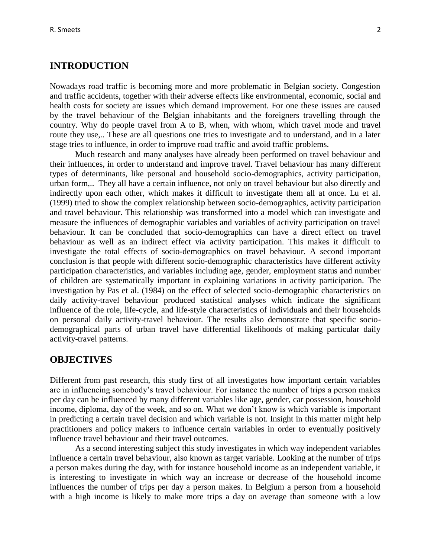#### **INTRODUCTION**

Nowadays road traffic is becoming more and more problematic in Belgian society. Congestion and traffic accidents, together with their adverse effects like environmental, economic, social and health costs for society are issues which demand improvement. For one these issues are caused by the travel behaviour of the Belgian inhabitants and the foreigners travelling through the country. Why do people travel from A to B, when, with whom, which travel mode and travel route they use,.. These are all questions one tries to investigate and to understand, and in a later stage tries to influence, in order to improve road traffic and avoid traffic problems.

Much research and many analyses have already been performed on travel behaviour and their influences, in order to understand and improve travel. Travel behaviour has many different types of determinants, like personal and household socio-demographics, activity participation, urban form,.. They all have a certain influence, not only on travel behaviour but also directly and indirectly upon each other, which makes it difficult to investigate them all at once. Lu et al. (1999) tried to show the complex relationship between socio-demographics, activity participation and travel behaviour. This relationship was transformed into a model which can investigate and measure the influences of demographic variables and variables of activity participation on travel behaviour. It can be concluded that socio-demographics can have a direct effect on travel behaviour as well as an indirect effect via activity participation. This makes it difficult to investigate the total effects of socio-demographics on travel behaviour. A second important conclusion is that people with different socio-demographic characteristics have different activity participation characteristics, and variables including age, gender, employment status and number of children are systematically important in explaining variations in activity participation. The investigation by Pas et al. (1984) on the effect of selected socio-demographic characteristics on daily activity-travel behaviour produced statistical analyses which indicate the significant influence of the role, life-cycle, and life-style characteristics of individuals and their households on personal daily activity-travel behaviour. The results also demonstrate that specific sociodemographical parts of urban travel have differential likelihoods of making particular daily activity-travel patterns.

#### **OBJECTIVES**

Different from past research, this study first of all investigates how important certain variables are in influencing somebody's travel behaviour. For instance the number of trips a person makes per day can be influenced by many different variables like age, gender, car possession, household income, diploma, day of the week, and so on. What we don't know is which variable is important in predicting a certain travel decision and which variable is not. Insight in this matter might help practitioners and policy makers to influence certain variables in order to eventually positively influence travel behaviour and their travel outcomes.

As a second interesting subject this study investigates in which way independent variables influence a certain travel behaviour, also known as target variable. Looking at the number of trips a person makes during the day, with for instance household income as an independent variable, it is interesting to investigate in which way an increase or decrease of the household income influences the number of trips per day a person makes. In Belgium a person from a household with a high income is likely to make more trips a day on average than someone with a low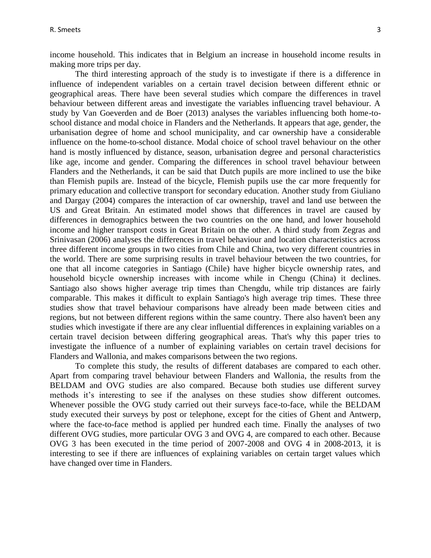income household. This indicates that in Belgium an increase in household income results in making more trips per day.

The third interesting approach of the study is to investigate if there is a difference in influence of independent variables on a certain travel decision between different ethnic or geographical areas. There have been several studies which compare the differences in travel behaviour between different areas and investigate the variables influencing travel behaviour. A study by Van Goeverden and de Boer (2013) analyses the variables influencing both home-toschool distance and modal choice in Flanders and the Netherlands. It appears that age, gender, the urbanisation degree of home and school municipality, and car ownership have a considerable influence on the home-to-school distance. Modal choice of school travel behaviour on the other hand is mostly influenced by distance, season, urbanisation degree and personal characteristics like age, income and gender. Comparing the differences in school travel behaviour between Flanders and the Netherlands, it can be said that Dutch pupils are more inclined to use the bike than Flemish pupils are. Instead of the bicycle, Flemish pupils use the car more frequently for primary education and collective transport for secondary education. Another study from Giuliano and Dargay (2004) compares the interaction of car ownership, travel and land use between the US and Great Britain. An estimated model shows that differences in travel are caused by differences in demographics between the two countries on the one hand, and lower household income and higher transport costs in Great Britain on the other. A third study from Zegras and Srinivasan (2006) analyses the differences in travel behaviour and location characteristics across three different income groups in two cities from Chile and China, two very different countries in the world. There are some surprising results in travel behaviour between the two countries, for one that all income categories in Santiago (Chile) have higher bicycle ownership rates, and household bicycle ownership increases with income while in Chengu (China) it declines. Santiago also shows higher average trip times than Chengdu, while trip distances are fairly comparable. This makes it difficult to explain Santiago's high average trip times. These three studies show that travel behaviour comparisons have already been made between cities and regions, but not between different regions within the same country. There also haven't been any studies which investigate if there are any clear influential differences in explaining variables on a certain travel decision between differing geographical areas. That's why this paper tries to investigate the influence of a number of explaining variables on certain travel decisions for Flanders and Wallonia, and makes comparisons between the two regions.

To complete this study, the results of different databases are compared to each other. Apart from comparing travel behaviour between Flanders and Wallonia, the results from the BELDAM and OVG studies are also compared. Because both studies use different survey methods it's interesting to see if the analyses on these studies show different outcomes. Whenever possible the OVG study carried out their surveys face-to-face, while the BELDAM study executed their surveys by post or telephone, except for the cities of Ghent and Antwerp, where the face-to-face method is applied per hundred each time. Finally the analyses of two different OVG studies, more particular OVG 3 and OVG 4, are compared to each other. Because OVG 3 has been executed in the time period of 2007-2008 and OVG 4 in 2008-2013, it is interesting to see if there are influences of explaining variables on certain target values which have changed over time in Flanders.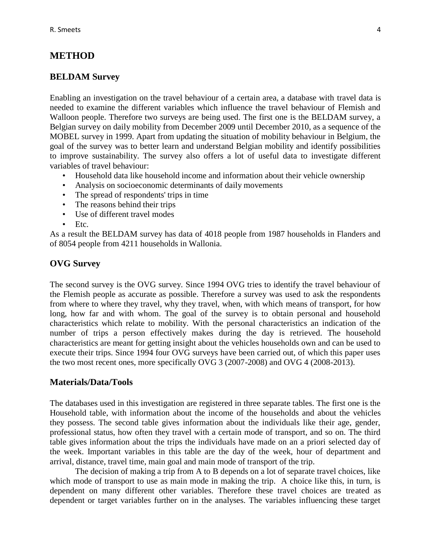## **METHOD**

#### **BELDAM Survey**

Enabling an investigation on the travel behaviour of a certain area, a database with travel data is needed to examine the different variables which influence the travel behaviour of Flemish and Walloon people. Therefore two surveys are being used. The first one is the BELDAM survey, a Belgian survey on daily mobility from December 2009 until December 2010, as a sequence of the MOBEL survey in 1999. Apart from updating the situation of mobility behaviour in Belgium, the goal of the survey was to better learn and understand Belgian mobility and identify possibilities to improve sustainability. The survey also offers a lot of useful data to investigate different variables of travel behaviour:

- Household data like household income and information about their vehicle ownership
- Analysis on socioeconomic determinants of daily movements
- The spread of respondents' trips in time
- The reasons behind their trips
- Use of different travel modes
- Etc.

As a result the BELDAM survey has data of 4018 people from 1987 households in Flanders and of 8054 people from 4211 households in Wallonia.

#### **OVG Survey**

The second survey is the OVG survey. Since 1994 OVG tries to identify the travel behaviour of the Flemish people as accurate as possible. Therefore a survey was used to ask the respondents from where to where they travel, why they travel, when, with which means of transport, for how long, how far and with whom. The goal of the survey is to obtain personal and household characteristics which relate to mobility. With the personal characteristics an indication of the number of trips a person effectively makes during the day is retrieved. The household characteristics are meant for getting insight about the vehicles households own and can be used to execute their trips. Since 1994 four OVG surveys have been carried out, of which this paper uses the two most recent ones, more specifically OVG 3 (2007-2008) and OVG 4 (2008-2013).

#### **Materials/Data/Tools**

The databases used in this investigation are registered in three separate tables. The first one is the Household table, with information about the income of the households and about the vehicles they possess. The second table gives information about the individuals like their age, gender, professional status, how often they travel with a certain mode of transport, and so on. The third table gives information about the trips the individuals have made on an a priori selected day of the week. Important variables in this table are the day of the week, hour of department and arrival, distance, travel time, main goal and main mode of transport of the trip.

The decision of making a trip from A to B depends on a lot of separate travel choices, like which mode of transport to use as main mode in making the trip. A choice like this, in turn, is dependent on many different other variables. Therefore these travel choices are treated as dependent or target variables further on in the analyses. The variables influencing these target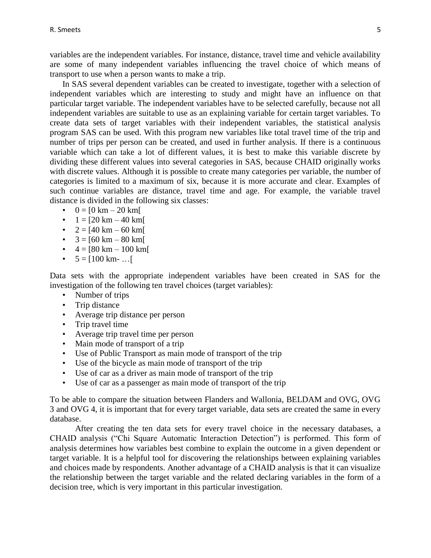variables are the independent variables. For instance, distance, travel time and vehicle availability are some of many independent variables influencing the travel choice of which means of transport to use when a person wants to make a trip.

In SAS several dependent variables can be created to investigate, together with a selection of independent variables which are interesting to study and might have an influence on that particular target variable. The independent variables have to be selected carefully, because not all independent variables are suitable to use as an explaining variable for certain target variables. To create data sets of target variables with their independent variables, the statistical analysis program SAS can be used. With this program new variables like total travel time of the trip and number of trips per person can be created, and used in further analysis. If there is a continuous variable which can take a lot of different values, it is best to make this variable discrete by dividing these different values into several categories in SAS, because CHAID originally works with discrete values. Although it is possible to create many categories per variable, the number of categories is limited to a maximum of six, because it is more accurate and clear. Examples of such continue variables are distance, travel time and age. For example, the variable travel distance is divided in the following six classes:

- $0 = [0 \text{ km} 20 \text{ km}]$
- $1 = [20 \text{ km} 40 \text{ km}]$
- $2 = [40 \text{ km} 60 \text{ km}]$
- $3 = 60 \text{ km} 80 \text{ km}$
- $4 = [80 \text{ km} 100 \text{ km}]$
- $5 = [100 \text{ km} \dots]$

Data sets with the appropriate independent variables have been created in SAS for the investigation of the following ten travel choices (target variables):

- Number of trips
- Trip distance
- Average trip distance per person
- Trip travel time
- Average trip travel time per person
- Main mode of transport of a trip
- Use of Public Transport as main mode of transport of the trip
- Use of the bicycle as main mode of transport of the trip
- Use of car as a driver as main mode of transport of the trip
- Use of car as a passenger as main mode of transport of the trip

To be able to compare the situation between Flanders and Wallonia, BELDAM and OVG, OVG 3 and OVG 4, it is important that for every target variable, data sets are created the same in every database.

After creating the ten data sets for every travel choice in the necessary databases, a CHAID analysis ("Chi Square Automatic Interaction Detection") is performed. This form of analysis determines how variables best combine to explain the outcome in a given dependent or target variable. It is a helpful tool for discovering the relationships between explaining variables and choices made by respondents. Another advantage of a CHAID analysis is that it can visualize the relationship between the target variable and the related declaring variables in the form of a decision tree, which is very important in this particular investigation.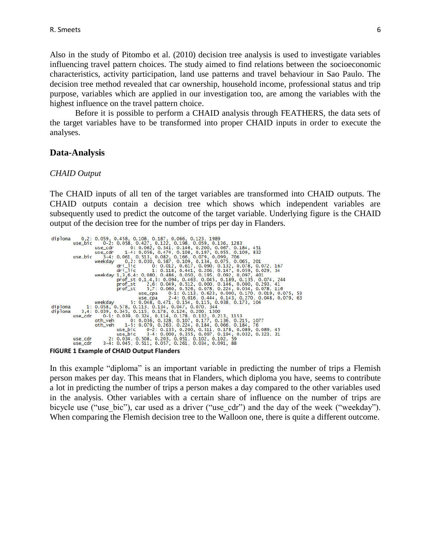Also in the study of Pitombo et al. (2010) decision tree analysis is used to investigate variables influencing travel pattern choices. The study aimed to find relations between the socioeconomic characteristics, activity participation, land use patterns and travel behaviour in Sao Paulo. The decision tree method revealed that car ownership, household income, professional status and trip purpose, variables which are applied in our investigation too, are among the variables with the highest influence on the travel pattern choice.

Before it is possible to perform a CHAID analysis through FEATHERS, the data sets of the target variables have to be transformed into proper CHAID inputs in order to execute the analyses.

#### **Data-Analysis**

#### *CHAID Output*

The CHAID inputs of all ten of the target variables are transformed into CHAID outputs. The CHAID outputs contain a decision tree which shows which independent variables are subsequently used to predict the outcome of the target variable. Underlying figure is the CHAID output of the decision tree for the number of trips per day in Flanders.



**FIGURE 1 Example of CHAID Output Flanders**

In this example "diploma" is an important variable in predicting the number of trips a Flemish person makes per day. This means that in Flanders, which diploma you have, seems to contribute a lot in predicting the number of trips a person makes a day compared to the other variables used in the analysis. Other variables with a certain share of influence on the number of trips are bicycle use ("use bic"), car used as a driver ("use cdr") and the day of the week ("weekday"). When comparing the Flemish decision tree to the Walloon one, there is quite a different outcome.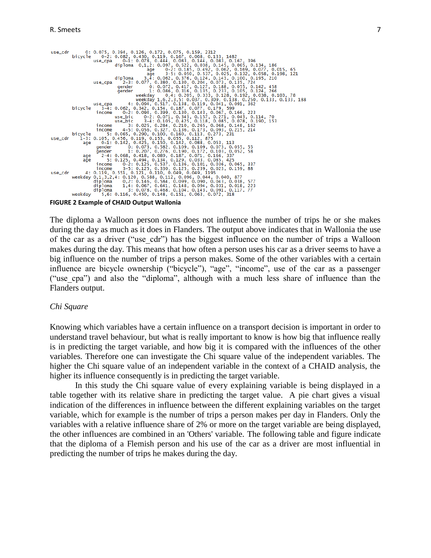

**FIGURE 2 Example of CHAID Output Wallonia**

The diploma a Walloon person owns does not influence the number of trips he or she makes during the day as much as it does in Flanders. The output above indicates that in Wallonia the use of the car as a driver ("use\_cdr") has the biggest influence on the number of trips a Walloon makes during the day. This means that how often a person uses his car as a driver seems to have a big influence on the number of trips a person makes. Some of the other variables with a certain influence are bicycle ownership ("bicycle"), "age", "income", use of the car as a passenger ("use\_cpa") and also the "diploma", although with a much less share of influence than the Flanders output.

#### *Chi Square*

Knowing which variables have a certain influence on a transport decision is important in order to understand travel behaviour, but what is really important to know is how big that influence really is in predicting the target variable, and how big it is compared with the influences of the other variables. Therefore one can investigate the Chi square value of the independent variables. The higher the Chi square value of an independent variable in the context of a CHAID analysis, the higher its influence consequently is in predicting the target variable.

In this study the Chi square value of every explaining variable is being displayed in a table together with its relative share in predicting the target value. A pie chart gives a visual indication of the differences in influence between the different explaining variables on the target variable, which for example is the number of trips a person makes per day in Flanders. Only the variables with a relative influence share of 2% or more on the target variable are being displayed, the other influences are combined in an 'Others' variable. The following table and figure indicate that the diploma of a Flemish person and his use of the car as a driver are most influential in predicting the number of trips he makes during the day.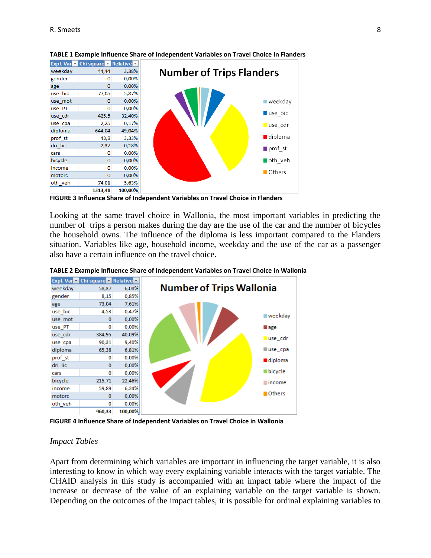|         | Expl. Var v Chi square v Relative v |         |
|---------|-------------------------------------|---------|
| weekday | 44,44                               | 3,38%   |
| gender  | 0                                   | 0,00%   |
| age     | $\Omega$                            | 0,00%   |
| use bic | 77,05                               | 5,87%   |
| use mot | 0                                   | 0,00%   |
| use PT  | O                                   | 0,00%   |
| use cdr | 425,5                               | 32,40%  |
| use cpa | 2,25                                | 0,17%   |
| diploma | 644,04                              | 49,04%  |
| prof st | 43,8                                | 3,33%   |
| dri_lic | 2,32                                | 0,18%   |
| cars    | 0                                   | 0,00%   |
| bicycle | $\bf{0}$                            | 0,00%   |
| income  | 0                                   | 0,00%   |
| motorc  | $\bf{0}$                            | 0,00%   |
| oth veh | 74,01                               | 5,63%   |
|         | 1313.41                             | 100.00% |

**TABLE 1 Example Influence Share of Independent Variables on Travel Choice in Flanders**

**FIGURE 3 Influence Share of Independent Variables on Travel Choice in Flanders**

Looking at the same travel choice in Wallonia, the most important variables in predicting the number of trips a person makes during the day are the use of the car and the number of bicycles the household owns. The influence of the diploma is less important compared to the Flanders situation. Variables like age, household income, weekday and the use of the car as a passenger also have a certain influence on the travel choice.



**TABLE 2 Example Influence Share of Independent Variables on Travel Choice in Wallonia**

**FIGURE 4 Influence Share of Independent Variables on Travel Choice in Wallonia**

#### *Impact Tables*

Apart from determining which variables are important in influencing the target variable, it is also interesting to know in which way every explaining variable interacts with the target variable. The CHAID analysis in this study is accompanied with an impact table where the impact of the increase or decrease of the value of an explaining variable on the target variable is shown. Depending on the outcomes of the impact tables, it is possible for ordinal explaining variables to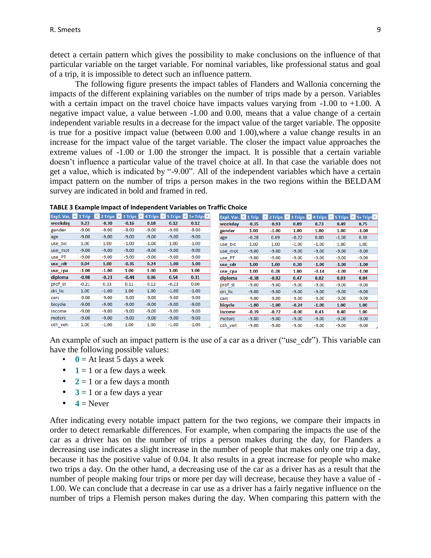detect a certain pattern which gives the possibility to make conclusions on the influence of that particular variable on the target variable. For nominal variables, like professional status and goal of a trip, it is impossible to detect such an influence pattern.

The following figure presents the impact tables of Flanders and Wallonia concerning the impacts of the different explaining variables on the number of trips made by a person. Variables with a certain impact on the travel choice have impacts values varying from  $-1.00$  to  $+1.00$ . A negative impact value, a value between -1.00 and 0.00, means that a value change of a certain independent variable results in a decrease for the impact value of the target variable. The opposite is true for a positive impact value (between 0.00 and 1.00),where a value change results in an increase for the impact value of the target variable. The closer the impact value approaches the extreme values of -1.00 or 1.00 the stronger the impact. It is possible that a certain variable doesn't influence a particular value of the travel choice at all. In that case the variable does not get a value, which is indicated by "-9.00". All of the independent variables which have a certain impact pattern on the number of trips a person makes in the two regions within the BELDAM survey are indicated in bold and framed in red.

|         | Expl. Var. $\triangledown$ 1 Trip | <b>Example 2 Trips 1</b> 2 Trips <b>1</b> 4 Trips <b>1</b> 5 Trips <b>1</b> 5+ Trips <b>1</b> |         |         |         |         |         |         | Expl. Var. $\triangleright$ 1 Trip | ▼       | 2 Trips $\triangledown$ |         | 3 Trips $\overline{v}$ 4 Trips $\overline{v}$ 5 Trips $\overline{v}$ 5+ Trips $\overline{v}$ |
|---------|-----------------------------------|-----------------------------------------------------------------------------------------------|---------|---------|---------|---------|---------|---------|------------------------------------|---------|-------------------------|---------|----------------------------------------------------------------------------------------------|
| weekday | 0.23                              | $-0.30$                                                                                       | $-0.16$ | 0.18    | 0.12    | 0.12    | weekdav |         | $-0.35$                            | $-0.93$ | 0.89                    | 0.73    | 0.49                                                                                         |
| gender  | $-9.00$                           | $-9.00$                                                                                       | $-9.00$ | $-9.00$ | $-9.00$ | $-9.00$ | gender  |         | 1.00                               | $-1.00$ | 1.00                    | 1.00    | 1.00                                                                                         |
| age     | $-9.00$                           | $-9.00$                                                                                       | $-9.00$ | $-9.00$ | $-9.00$ | $-9.00$ | age     |         | $-0.28$                            | 0.69    | $-0.22$                 | 0.00    | $-1.00$                                                                                      |
| use bic | 1.00                              | 1.00                                                                                          | $-1.00$ | $-1.00$ | 1.00    | $-1.00$ | use bic |         | 1.00                               | 1.00    | $-1.00$                 | $-1.00$ | 1.00                                                                                         |
| use_mot | $-9.00$                           | $-9.00$                                                                                       | $-9.00$ | $-9.00$ | $-9.00$ | $-9.00$ | use mot | $-9.00$ |                                    | $-9.00$ | $-9.00$                 | $-9.00$ | $-9.00$                                                                                      |
| use_PT  | $-9.00$                           | $-9.00$                                                                                       | $-9.00$ | $-9.00$ | $-9.00$ | $-9.00$ | use_PT  | $-9.00$ |                                    | $-9.00$ | $-9.00$                 | $-9.00$ | $-9.00$                                                                                      |
| use cdr | 0.04                              | 1.00                                                                                          | $-0.35$ | 0.24    | $-1.00$ | $-1.00$ | use cdr | 1.00    |                                    | 1.00    | 0.20                    | $-1.00$ | $-1.00$                                                                                      |
| use_cpa | $-1.00$                           | $-1.00$                                                                                       | 1.00    | 1.00    | 1.00    | 1.00    | use_cpa | 1.00    |                                    | 0.28    | 1.00                    | $-0.14$ | $-1.00$                                                                                      |
| diploma | $-0.98$                           | $-0.23$                                                                                       | $-0.44$ | 0.06    | 0.54    | 0.31    | diploma | $-0.38$ |                                    | $-0.02$ | 0.47                    | 0.02    | 0.03                                                                                         |
| prof_st | $-0.21$                           | 0.33                                                                                          | 0.11    | 0.12    | $-0.23$ | 0.00    | prof st | $-9.00$ |                                    | $-9.00$ | -9.00                   | $-9.00$ | $-9.00$                                                                                      |
| dri_lic | 1.00                              | $-1.00$                                                                                       | 1.00    | 1.00    | $-1.00$ | $-1.00$ | dri_lic | $-9.00$ |                                    | $-9.00$ | $-9.00$                 | $-9.00$ | $-9.00$                                                                                      |
| cars    | $-9.00$                           | $-9.00$                                                                                       | $-9.00$ | $-9.00$ | $-9.00$ | $-9.00$ | cars    | $-9.00$ |                                    | $-9.00$ | $-9.00$                 | $-9.00$ | $-9.00$                                                                                      |
| bicycle | $-9.00$                           | $-9.00$                                                                                       | $-9.00$ | $-9.00$ | $-9.00$ | $-9.00$ | bicycle | $-1.00$ |                                    | $-1.00$ | $-0.24$                 | $-1.00$ | 1.00                                                                                         |
| income  | $-9.00$                           | $-9.00$                                                                                       | $-9.00$ | $-9.00$ | $-9.00$ | $-9.00$ | income  | $-0.39$ |                                    | $-0.72$ | $-0.00$                 | 0.43    | 0.40                                                                                         |
| motorc  | $-9.00$                           | $-9.00$                                                                                       | $-9.00$ | $-9.00$ | $-9.00$ | $-9.00$ | motorc  | $-9.00$ |                                    | $-9.00$ | $-9.00$                 | $-9.00$ | $-9.00$                                                                                      |
| oth veh | 1.00                              | $-1.00$                                                                                       | 1.00    | 1.00    | $-1.00$ | $-1.00$ | oth veh | $-9.00$ |                                    | $-9.00$ | $-9.00$                 | $-9.00$ | $-9.00$                                                                                      |

**TABLE 3 Example Impact of Independent Variables on Traffic Choice**

An example of such an impact pattern is the use of a car as a driver ("use cdr"). This variable can have the following possible values:

- $\cdot$  **0** = At least 5 days a week
- $\bullet$  **1** = 1 or a few days a week
- $2 = 1$  or a few days a month
- $\bullet$  **3** = 1 or a few days a year
- $\bullet$  **4** = Never

After indicating every notable impact pattern for the two regions, we compare their impacts in order to detect remarkable differences. For example, when comparing the impacts the use of the car as a driver has on the number of trips a person makes during the day, for Flanders a decreasing use indicates a slight increase in the number of people that makes only one trip a day, because it has the positive value of 0.04. It also results in a great increase for people who make two trips a day. On the other hand, a decreasing use of the car as a driver has as a result that the number of people making four trips or more per day will decrease, because they have a value of - 1.00. We can conclude that a decrease in car use as a driver has a fairly negative influence on the number of trips a Flemish person makes during the day. When comparing this pattern with the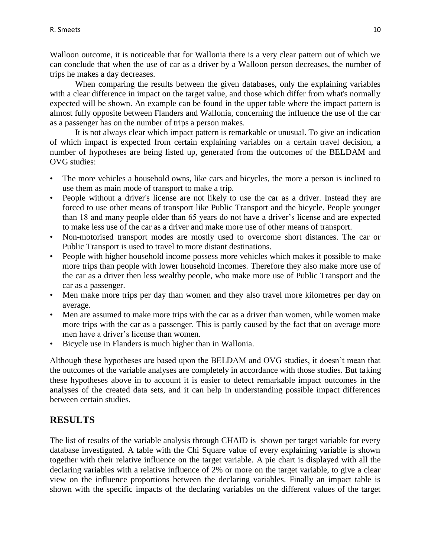Walloon outcome, it is noticeable that for Wallonia there is a very clear pattern out of which we can conclude that when the use of car as a driver by a Walloon person decreases, the number of trips he makes a day decreases.

When comparing the results between the given databases, only the explaining variables with a clear difference in impact on the target value, and those which differ from what's normally expected will be shown. An example can be found in the upper table where the impact pattern is almost fully opposite between Flanders and Wallonia, concerning the influence the use of the car as a passenger has on the number of trips a person makes.

It is not always clear which impact pattern is remarkable or unusual. To give an indication of which impact is expected from certain explaining variables on a certain travel decision, a number of hypotheses are being listed up, generated from the outcomes of the BELDAM and OVG studies:

- The more vehicles a household owns, like cars and bicycles, the more a person is inclined to use them as main mode of transport to make a trip.
- People without a driver's license are not likely to use the car as a driver. Instead they are forced to use other means of transport like Public Transport and the bicycle. People younger than 18 and many people older than 65 years do not have a driver's license and are expected to make less use of the car as a driver and make more use of other means of transport.
- Non-motorised transport modes are mostly used to overcome short distances. The car or Public Transport is used to travel to more distant destinations.
- People with higher household income possess more vehicles which makes it possible to make more trips than people with lower household incomes. Therefore they also make more use of the car as a driver then less wealthy people, who make more use of Public Transport and the car as a passenger.
- Men make more trips per day than women and they also travel more kilometres per day on average.
- Men are assumed to make more trips with the car as a driver than women, while women make more trips with the car as a passenger. This is partly caused by the fact that on average more men have a driver's license than women.
- Bicycle use in Flanders is much higher than in Wallonia.

Although these hypotheses are based upon the BELDAM and OVG studies, it doesn't mean that the outcomes of the variable analyses are completely in accordance with those studies. But taking these hypotheses above in to account it is easier to detect remarkable impact outcomes in the analyses of the created data sets, and it can help in understanding possible impact differences between certain studies.

# **RESULTS**

The list of results of the variable analysis through CHAID is shown per target variable for every database investigated. A table with the Chi Square value of every explaining variable is shown together with their relative influence on the target variable. A pie chart is displayed with all the declaring variables with a relative influence of 2% or more on the target variable, to give a clear view on the influence proportions between the declaring variables. Finally an impact table is shown with the specific impacts of the declaring variables on the different values of the target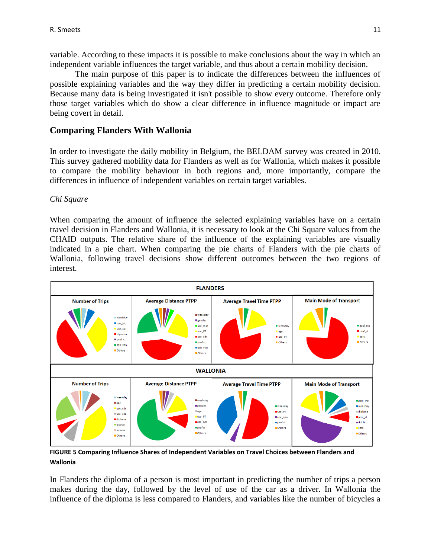variable. According to these impacts it is possible to make conclusions about the way in which an independent variable influences the target variable, and thus about a certain mobility decision.

The main purpose of this paper is to indicate the differences between the influences of possible explaining variables and the way they differ in predicting a certain mobility decision. Because many data is being investigated it isn't possible to show every outcome. Therefore only those target variables which do show a clear difference in influence magnitude or impact are being covert in detail.

#### **Comparing Flanders With Wallonia**

In order to investigate the daily mobility in Belgium, the BELDAM survey was created in 2010. This survey gathered mobility data for Flanders as well as for Wallonia, which makes it possible to compare the mobility behaviour in both regions and, more importantly, compare the differences in influence of independent variables on certain target variables.

#### *Chi Square*

When comparing the amount of influence the selected explaining variables have on a certain travel decision in Flanders and Wallonia, it is necessary to look at the Chi Square values from the CHAID outputs. The relative share of the influence of the explaining variables are visually indicated in a pie chart. When comparing the pie charts of Flanders with the pie charts of Wallonia, following travel decisions show different outcomes between the two regions of interest.



**FIGURE 5 Comparing Influence Shares of Independent Variables on Travel Choices between Flanders and Wallonia**

In Flanders the diploma of a person is most important in predicting the number of trips a person makes during the day, followed by the level of use of the car as a driver. In Wallonia the influence of the diploma is less compared to Flanders, and variables like the number of bicycles a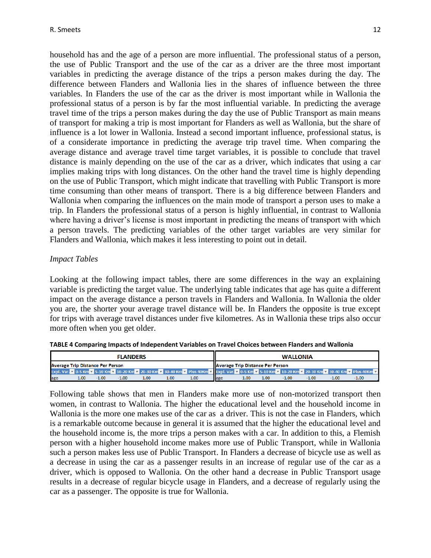household has and the age of a person are more influential. The professional status of a person, the use of Public Transport and the use of the car as a driver are the three most important variables in predicting the average distance of the trips a person makes during the day. The difference between Flanders and Wallonia lies in the shares of influence between the three variables. In Flanders the use of the car as the driver is most important while in Wallonia the professional status of a person is by far the most influential variable. In predicting the average travel time of the trips a person makes during the day the use of Public Transport as main means of transport for making a trip is most important for Flanders as well as Wallonia, but the share of influence is a lot lower in Wallonia. Instead a second important influence, professional status, is of a considerate importance in predicting the average trip travel time. When comparing the average distance and average travel time target variables, it is possible to conclude that travel distance is mainly depending on the use of the car as a driver, which indicates that using a car implies making trips with long distances. On the other hand the travel time is highly depending on the use of Public Transport, which might indicate that travelling with Public Transport is more time consuming than other means of transport. There is a big difference between Flanders and Wallonia when comparing the influences on the main mode of transport a person uses to make a trip. In Flanders the professional status of a person is highly influential, in contrast to Wallonia where having a driver's license is most important in predicting the means of transport with which a person travels. The predicting variables of the other target variables are very similar for Flanders and Wallonia, which makes it less interesting to point out in detail.

#### *Impact Tables*

Looking at the following impact tables, there are some differences in the way an explaining variable is predicting the target value. The underlying table indicates that age has quite a different impact on the average distance a person travels in Flanders and Wallonia. In Wallonia the older you are, the shorter your average travel distance will be. In Flanders the opposite is true except for trips with average travel distances under five kilometres. As in Wallonia these trips also occur more often when you get older.

|     | <b>FLANDERS</b>                         |      |      |      |      |         |                                         | <b>WALLONIA</b> |         |  |  |  |                                                                                                                                                           |  |  |
|-----|-----------------------------------------|------|------|------|------|---------|-----------------------------------------|-----------------|---------|--|--|--|-----------------------------------------------------------------------------------------------------------------------------------------------------------|--|--|
|     | <b>Average Trip Distance Per Person</b> |      |      |      |      |         | <b>Average Trip Distance Per Person</b> |                 |         |  |  |  |                                                                                                                                                           |  |  |
|     |                                         |      |      |      |      |         |                                         |                 |         |  |  |  | Expl. Var. • 0-5 Km • 5-10 Km • 10-20 Km • 20-30 Km • 30-40 Km • Plus 40Km • Expl. Var. • 0-5 Km • 5-10 Km • 10-20 Km • 20-30 Km • 30-40 Km • Plus 40Km • |  |  |
| age | 1.00                                    | 1.00 | lage | 1.00 | 1.00 | $-1.00$ | $-1.00$                                 | $-1.00$         | $-1.00$ |  |  |  |                                                                                                                                                           |  |  |

**TABLE 4 Comparing Impacts of Independent Variables on Travel Choices between Flanders and Wallonia**

Following table shows that men in Flanders make more use of non-motorized transport then women, in contrast to Wallonia. The higher the educational level and the household income in Wallonia is the more one makes use of the car as a driver. This is not the case in Flanders, which is a remarkable outcome because in general it is assumed that the higher the educational level and the household income is, the more trips a person makes with a car. In addition to this, a Flemish person with a higher household income makes more use of Public Transport, while in Wallonia such a person makes less use of Public Transport. In Flanders a decrease of bicycle use as well as a decrease in using the car as a passenger results in an increase of regular use of the car as a driver, which is opposed to Wallonia. On the other hand a decrease in Public Transport usage results in a decrease of regular bicycle usage in Flanders, and a decrease of regularly using the car as a passenger. The opposite is true for Wallonia.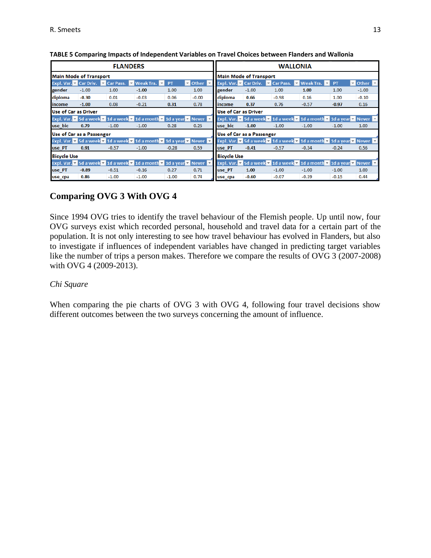|                    |                               | <b>FLANDERS</b>                                                                                                       |                  |           |                                       |                               |         |         | <b>WALLONIA</b>                                                                                                                                |           |                                       |  |  |
|--------------------|-------------------------------|-----------------------------------------------------------------------------------------------------------------------|------------------|-----------|---------------------------------------|-------------------------------|---------|---------|------------------------------------------------------------------------------------------------------------------------------------------------|-----------|---------------------------------------|--|--|
|                    | <b>Main Mode of Transport</b> |                                                                                                                       |                  |           |                                       | <b>Main Mode of Transport</b> |         |         |                                                                                                                                                |           |                                       |  |  |
|                    |                               | Expl. Var. v Car Driv. v Car Pass. v                                                                                  | <b>Weak Tra.</b> | <b>PT</b> | $\triangledown$ Other $\triangledown$ | Expl. Var. Y Car Driv.        |         |         | <b>Executive</b> Car Pass. <b>Execute Weak Tra. Execute</b>                                                                                    | <b>PT</b> | $\triangledown$ Other $\triangledown$ |  |  |
| gender             | $-1.00$                       | 1.00                                                                                                                  | $-1.00$          | 1.00      | 1.00                                  | gender                        | $-1.00$ | 1.00    | 1.00                                                                                                                                           | 1.00      | $-1.00$                               |  |  |
| diploma            | $-0.30$                       | 0.01                                                                                                                  | $-0.03$          | 0.06      | $-0.00$                               | diploma                       | 0.66    | $-0.98$ | 0.16                                                                                                                                           | 1.00      | $-0.10$                               |  |  |
| lincome            | $-1.00$                       | 0.08                                                                                                                  | $-0.21$          | 0.31      | 0.78                                  | income                        | 0.37    | 0.76    | $-0.57$                                                                                                                                        | $-0.97$   | 0.16                                  |  |  |
|                    | Use of Car as Driver          |                                                                                                                       |                  |           |                                       | Use of Car as Driver          |         |         |                                                                                                                                                |           |                                       |  |  |
|                    |                               | Expl. Var. $\bullet$ 5d a week $\bullet$ 1d a week $\bullet$ 1d a month $\bullet$ 1d a year $\bullet$ Never $\bullet$ |                  |           |                                       |                               |         |         | Expl. Var. $\bullet$ 5d a week $\bullet$ 1d a week $\bullet$ 1d a month $\bullet$ 1d a year $\bullet$ Never $\bullet$                          |           |                                       |  |  |
| use bic            | 0.79                          | $-1.00$                                                                                                               | $-1.00$          | 0.28      | 0.25                                  | use bic                       | $-1.00$ | $-1.00$ | $-1.00$                                                                                                                                        | $-1.00$   | 1.00                                  |  |  |
|                    | Use of Car as a Passenger     |                                                                                                                       |                  |           |                                       | Use of Car as a Passenger     |         |         |                                                                                                                                                |           |                                       |  |  |
|                    |                               | Expl. Var. $\bullet$ 5d a week $\bullet$ 1d a week $\bullet$ 1d a month $\bullet$ 1d a year $\bullet$ Never $\bullet$ |                  |           |                                       |                               |         |         | Expl. Var. $\bullet$ 5d a week $\bullet$ 1d a week $\bullet$ 1d a month $\bullet$ 1d a year $\bullet$ Never $\bullet$                          |           |                                       |  |  |
| use PT             | 0.91                          | $-0.57$                                                                                                               | $-1.00$          | $-0.28$   | 0.59                                  | use PT                        | $-0.41$ | $-0.57$ | $-0.34$                                                                                                                                        | $-0.24$   | 0.56                                  |  |  |
| <b>Bicycle Use</b> |                               |                                                                                                                       |                  |           |                                       | <b>Bicycle Use</b>            |         |         |                                                                                                                                                |           |                                       |  |  |
|                    |                               | Expl. Var. $\bullet$ 5d a week $\bullet$ 1d a week $\bullet$ 1d a month $\bullet$ 1d a year $\bullet$ Never $\bullet$ |                  |           |                                       |                               |         |         | <b>Expl.</b> Var. $\mathbf{v}$ 5d a week $\mathbf{v}$ 1d a week $\mathbf{v}$ 1d a month $\mathbf{v}$ 1d a year $\mathbf{v}$ Never $\mathbf{v}$ |           |                                       |  |  |
| use PT             | $-0.89$                       | $-0.51$                                                                                                               | $-0.16$          | 0.27      | 0.71                                  | use PT                        | 1.00    | $-1.00$ | $-1.00$                                                                                                                                        | $-1.00$   | 1.00                                  |  |  |
| use cpa            | 0.86                          | $-1.00$                                                                                                               | $-1.00$          | $-1.00$   | 0.74                                  | use cpa                       | $-0.60$ | $-0.07$ | $-0.39$                                                                                                                                        | $-0.15$   | 0.44                                  |  |  |

| TABLE 5 Comparing Impacts of Independent Variables on Travel Choices between Flanders and Wallonia |
|----------------------------------------------------------------------------------------------------|
|----------------------------------------------------------------------------------------------------|

#### **Comparing OVG 3 With OVG 4**

Since 1994 OVG tries to identify the travel behaviour of the Flemish people. Up until now, four OVG surveys exist which recorded personal, household and travel data for a certain part of the population. It is not only interesting to see how travel behaviour has evolved in Flanders, but also to investigate if influences of independent variables have changed in predicting target variables like the number of trips a person makes. Therefore we compare the results of OVG 3 (2007-2008) with OVG 4 (2009-2013).

#### *Chi Square*

When comparing the pie charts of OVG 3 with OVG 4, following four travel decisions show different outcomes between the two surveys concerning the amount of influence.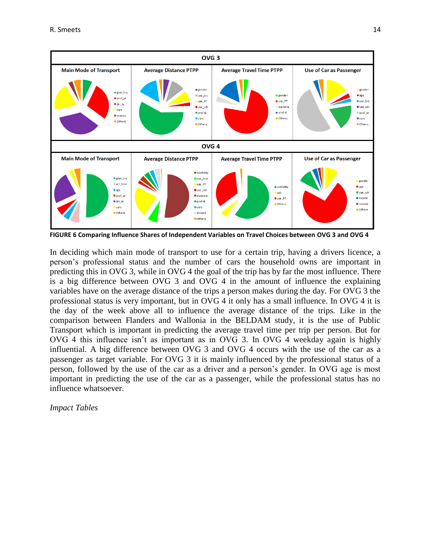

**FIGURE 6 Comparing Influence Shares of Independent Variables on Travel Choices between OVG 3 and OVG 4**

In deciding which main mode of transport to use for a certain trip, having a drivers licence, a person's professional status and the number of cars the household owns are important in predicting this in OVG 3, while in OVG 4 the goal of the trip has by far the most influence. There is a big difference between OVG 3 and OVG 4 in the amount of influence the explaining variables have on the average distance of the trips a person makes during the day. For OVG 3 the professional status is very important, but in OVG 4 it only has a small influence. In OVG 4 it is the day of the week above all to influence the average distance of the trips. Like in the comparison between Flanders and Wallonia in the BELDAM study, it is the use of Public Transport which is important in predicting the average travel time per trip per person. But for OVG 4 this influence isn't as important as in OVG 3. In OVG 4 weekday again is highly influential. A big difference between OVG 3 and OVG 4 occurs with the use of the car as a passenger as target variable. For OVG 3 it is mainly influenced by the professional status of a person, followed by the use of the car as a driver and a person's gender. In OVG age is most important in predicting the use of the car as a passenger, while the professional status has no influence whatsoever.

*Impact Tables*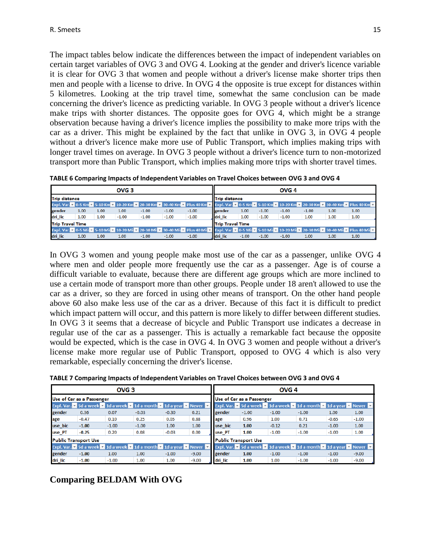The impact tables below indicate the differences between the impact of independent variables on certain target variables of OVG 3 and OVG 4. Looking at the gender and driver's licence variable it is clear for OVG 3 that women and people without a driver's license make shorter trips then men and people with a license to drive. In OVG 4 the opposite is true except for distances within 5 kilometres. Looking at the trip travel time, somewhat the same conclusion can be made concerning the driver's licence as predicting variable. In OVG 3 people without a driver's licence make trips with shorter distances. The opposite goes for OVG 4, which might be a strange observation because having a driver's licence implies the possibility to make more trips with the car as a driver. This might be explained by the fact that unlike in OVG 3, in OVG 4 people without a driver's licence make more use of Public Transport, which implies making trips with longer travel times on average. In OVG 3 people without a driver's licence turn to non-motorized transport more than Public Transport, which implies making more trips with shorter travel times.

**TABLE 6 Comparing Impacts of Independent Variables on Travel Choices between OVG 3 and OVG 4**

|                         | OVG <sub>3</sub>     |      |                                                                                   |         |         |         |                         |         | OVG <sub>4</sub>     |         |         |      |                                                                                                                                                             |  |  |  |  |
|-------------------------|----------------------|------|-----------------------------------------------------------------------------------|---------|---------|---------|-------------------------|---------|----------------------|---------|---------|------|-------------------------------------------------------------------------------------------------------------------------------------------------------------|--|--|--|--|
|                         | <b>Trip distance</b> |      |                                                                                   |         |         |         |                         |         | <b>Trip distance</b> |         |         |      |                                                                                                                                                             |  |  |  |  |
|                         |                      |      |                                                                                   |         |         |         |                         |         |                      |         |         |      | Expl. Var. ~ 0-5 Km ~ 5-10 Km ~ 10-20 Km ~ 20-30 Km ~ 30-40 Km ~ Plus 40 Km ~ Expl. Var. ~ 0-5 Km ~ 5-10 Km ~ 10-20 Km ~ 20-30 Km ~ 30-40 Km ~ Plus 40 Km ~ |  |  |  |  |
| gender                  | 1.00                 | 1.00 | 1.00                                                                              | $-1.00$ | $-1.00$ | $-1.00$ | gender                  | 1.00    | $-1.00$              | $-1.00$ | $-1.00$ | 1.00 | 1.00                                                                                                                                                        |  |  |  |  |
| dri_lic                 | 1.00                 | 1.00 | $-1.00$                                                                           | $-1.00$ | $-1.00$ | $-1.00$ | dri_lic                 | 1.00    | $-1.00$              | $-1.00$ | 1.00    | 1.00 | 1.00                                                                                                                                                        |  |  |  |  |
| <b>Trip Travel Time</b> |                      |      |                                                                                   |         |         |         | <b>Trip Travel Time</b> |         |                      |         |         |      |                                                                                                                                                             |  |  |  |  |
|                         |                      |      | Expl. Var. v 0-5 Mii v 5-10 Mii v 10-20 Mii v 20-30 Mii v 30-40 Mii v Plus 40 Mii |         |         |         |                         |         |                      |         |         |      | v Expl. Var. v 0-5 Mil v 5-10 Mil v 10-20 Mil v 20-30 Mil v 30-40 Mil v Plus 40 Mil v                                                                       |  |  |  |  |
| dri_lic                 | 1.00                 | 1.00 | 1.00                                                                              | $-1.00$ | $-1.00$ | $-1.00$ | dri lic                 | $-1.00$ | $-1.00$              | $-1.00$ | 1.00    | 1.00 | 1.00                                                                                                                                                        |  |  |  |  |

In OVG 3 women and young people make most use of the car as a passenger, unlike OVG 4 where men and older people more frequently use the car as a passenger. Age is of course a difficult variable to evaluate, because there are different age groups which are more inclined to use a certain mode of transport more than other groups. People under 18 aren't allowed to use the car as a driver, so they are forced in using other means of transport. On the other hand people above 60 also make less use of the car as a driver. Because of this fact it is difficult to predict which impact pattern will occur, and this pattern is more likely to differ between different studies. In OVG 3 it seems that a decrease of bicycle and Public Transport use indicates a decrease in regular use of the car as a passenger. This is actually a remarkable fact because the opposite would be expected, which is the case in OVG 4. In OVG 3 women and people without a driver's license make more regular use of Public Transport, opposed to OVG 4 which is also very remarkable, especially concerning the driver's license.

**TABLE 7 Comparing Impacts of Independent Variables on Travel Choices between OVG 3 and OVG 4**

|                             |                           | OVG <sub>3</sub> |                                                                                                           |         |         | OVG <sub>4</sub>          |                             |         |                                                                                                                              |         |         |  |  |
|-----------------------------|---------------------------|------------------|-----------------------------------------------------------------------------------------------------------|---------|---------|---------------------------|-----------------------------|---------|------------------------------------------------------------------------------------------------------------------------------|---------|---------|--|--|
|                             | Use of Car as a Passenger |                  |                                                                                                           |         |         | Use of Car as a Passenger |                             |         |                                                                                                                              |         |         |  |  |
|                             |                           |                  | Expl. Var. $\star$ 5d a week $\star$ 1d a week $\star$ 1d a month $\star$ 1d a year $\star$ Never $\star$ |         |         |                           |                             |         | Expl. Var. $\bullet$ 5d a week $\bullet$ 1d a week $\bullet$ 1d a month $\bullet$ 1d a year $\bullet$ Never $\bullet$        |         |         |  |  |
| gender                      | 0.36                      | 0.07             | $-0.03$                                                                                                   | $-0.30$ | 0.21    | gender                    | $-1.00$                     | $-1.00$ | $-1.00$                                                                                                                      | 1.00    | 1.00    |  |  |
| age                         | $-0.47$                   | 0.10             | 0.25                                                                                                      | 0.05    | 0.88    | age                       | 0.96                        | 1.00    | 0.71                                                                                                                         | $-0.65$ | $-1.00$ |  |  |
| use_bic                     | $-1.00$                   | $-1.00$          | $-1.00$                                                                                                   | 1.00    | 1.00    | use bic                   | 1.00                        | $-0.12$ | 0.21                                                                                                                         | $-1.00$ | 1.00    |  |  |
| use_PT                      | $-0.25$                   | 0.20             | 0.08                                                                                                      | $-0.03$ | 0.00    | use PT                    | 1.00                        | $-1.00$ | $-1.00$                                                                                                                      | $-1.00$ | 1.00    |  |  |
| <b>Public Transport Use</b> |                           |                  |                                                                                                           |         |         |                           | <b>Public Transport Use</b> |         |                                                                                                                              |         |         |  |  |
|                             |                           |                  | Expl. Var. $\star$ 5d a week $\star$ 1d a week $\star$ 1d a month $\star$ 1d a year $\star$ Never $\star$ |         |         |                           |                             |         | <b>Expl. Var.</b> $\bullet$ 5d a week $\bullet$ 1d a week $\bullet$ 1d a month $\bullet$ 1d a year $\bullet$ Never $\bullet$ |         |         |  |  |
| gender                      | $-1.00$                   | 1.00             | 1.00                                                                                                      | $-1.00$ | $-9.00$ | gender                    | 1.00                        | $-1.00$ | $-1.00$                                                                                                                      | $-1.00$ | $-9.00$ |  |  |
| dri lic                     | $-1.00$                   | $-1.00$          | 1.00                                                                                                      | 1.00    | $-9.00$ | dri lic                   | 1.00                        | 1.00    | $-1.00$                                                                                                                      | $-1.00$ | $-9.00$ |  |  |

**Comparing BELDAM With OVG**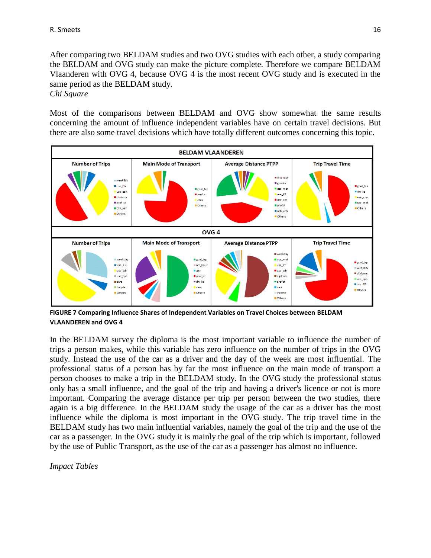After comparing two BELDAM studies and two OVG studies with each other, a study comparing the BELDAM and OVG study can make the picture complete. Therefore we compare BELDAM Vlaanderen with OVG 4, because OVG 4 is the most recent OVG study and is executed in the same period as the BELDAM study.

*Chi Square*

Most of the comparisons between BELDAM and OVG show somewhat the same results concerning the amount of influence independent variables have on certain travel decisions. But there are also some travel decisions which have totally different outcomes concerning this topic.



**FIGURE 7 Comparing Influence Shares of Independent Variables on Travel Choices between BELDAM VLAANDEREN and OVG 4**

In the BELDAM survey the diploma is the most important variable to influence the number of trips a person makes, while this variable has zero influence on the number of trips in the OVG study. Instead the use of the car as a driver and the day of the week are most influential. The professional status of a person has by far the most influence on the main mode of transport a person chooses to make a trip in the BELDAM study. In the OVG study the professional status only has a small influence, and the goal of the trip and having a driver's licence or not is more important. Comparing the average distance per trip per person between the two studies, there again is a big difference. In the BELDAM study the usage of the car as a driver has the most influence while the diploma is most important in the OVG study. The trip travel time in the BELDAM study has two main influential variables, namely the goal of the trip and the use of the car as a passenger. In the OVG study it is mainly the goal of the trip which is important, followed by the use of Public Transport, as the use of the car as a passenger has almost no influence.

*Impact Tables*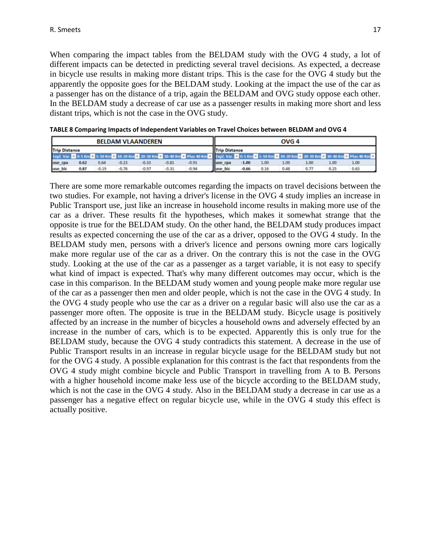When comparing the impact tables from the BELDAM study with the OVG 4 study, a lot of different impacts can be detected in predicting several travel decisions. As expected, a decrease in bicycle use results in making more distant trips. This is the case for the OVG 4 study but the apparently the opposite goes for the BELDAM study. Looking at the impact the use of the car as a passenger has on the distance of a trip, again the BELDAM and OVG study oppose each other. In the BELDAM study a decrease of car use as a passenger results in making more short and less distant trips, which is not the case in the OVG study.

|                                                                        | <b>BELDAM VLAANDEREN</b> |      |         |         |         |                                                                                                                                                             | OVG <sub>4</sub> |                        |         |      |      |      |      |      |
|------------------------------------------------------------------------|--------------------------|------|---------|---------|---------|-------------------------------------------------------------------------------------------------------------------------------------------------------------|------------------|------------------------|---------|------|------|------|------|------|
|                                                                        | <b>Trip Distance</b>     |      |         |         |         |                                                                                                                                                             |                  | <b>IlTrio Distance</b> |         |      |      |      |      |      |
|                                                                        |                          |      |         |         |         | Expl. Var. 2 0-5 Km 2 5-10 Km 2 10-20 Km 2 20-30 Km 2 30-40 Km 2 Plus 40 Km 2 Expl. Var. 2 0-5 Km 2 5-10 Km 2 10-20 Km 2 20-30 Km 2 30-40 Km 2 Plus 40 Km 2 |                  |                        |         |      |      |      |      |      |
| use cpa                                                                | 0.62                     | 0.64 | $-0.23$ | $-0.33$ | $-0.81$ | $-0.91$                                                                                                                                                     | luse cpa         |                        | $-1.00$ | 1.00 | 1.00 | 1.00 | 1.00 | 1.00 |
| use bic<br>$-0.76$<br>$-0.94$<br>$-0.19$<br>$-0.97$<br>$-0.31$<br>0.87 |                          |      |         |         |         |                                                                                                                                                             |                  | luse bic               | $-0.66$ | 0.16 | 0.48 | 0.77 | 0.25 | 0.63 |

| TABLE 8 Comparing Impacts of Independent Variables on Travel Choices between BELDAM and OVG 4 |  |
|-----------------------------------------------------------------------------------------------|--|
|-----------------------------------------------------------------------------------------------|--|

There are some more remarkable outcomes regarding the impacts on travel decisions between the two studies. For example, not having a driver's license in the OVG 4 study implies an increase in Public Transport use, just like an increase in household income results in making more use of the car as a driver. These results fit the hypotheses, which makes it somewhat strange that the opposite is true for the BELDAM study. On the other hand, the BELDAM study produces impact results as expected concerning the use of the car as a driver, opposed to the OVG 4 study. In the BELDAM study men, persons with a driver's licence and persons owning more cars logically make more regular use of the car as a driver. On the contrary this is not the case in the OVG study. Looking at the use of the car as a passenger as a target variable, it is not easy to specify what kind of impact is expected. That's why many different outcomes may occur, which is the case in this comparison. In the BELDAM study women and young people make more regular use of the car as a passenger then men and older people, which is not the case in the OVG 4 study. In the OVG 4 study people who use the car as a driver on a regular basic will also use the car as a passenger more often. The opposite is true in the BELDAM study. Bicycle usage is positively affected by an increase in the number of bicycles a household owns and adversely effected by an increase in the number of cars, which is to be expected. Apparently this is only true for the BELDAM study, because the OVG 4 study contradicts this statement. A decrease in the use of Public Transport results in an increase in regular bicycle usage for the BELDAM study but not for the OVG 4 study. A possible explanation for this contrast is the fact that respondents from the OVG 4 study might combine bicycle and Public Transport in travelling from A to B. Persons with a higher household income make less use of the bicycle according to the BELDAM study, which is not the case in the OVG 4 study. Also in the BELDAM study a decrease in car use as a passenger has a negative effect on regular bicycle use, while in the OVG 4 study this effect is actually positive.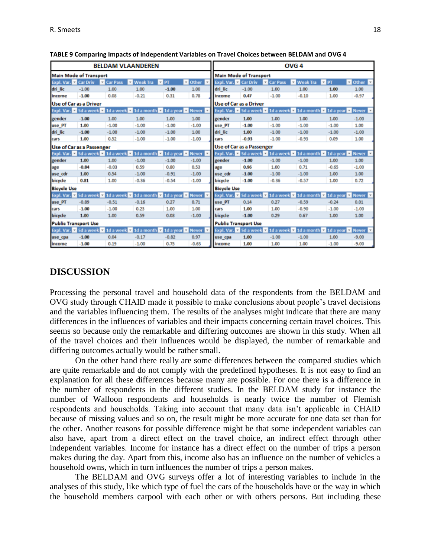|                     |                                  |                   | <b>BELDAM VLAANDEREN</b>                                                                         |                     |                               | OVG <sub>4</sub>                 |                             |                                      |                                                                                         |                   |                                              |  |  |
|---------------------|----------------------------------|-------------------|--------------------------------------------------------------------------------------------------|---------------------|-------------------------------|----------------------------------|-----------------------------|--------------------------------------|-----------------------------------------------------------------------------------------|-------------------|----------------------------------------------|--|--|
|                     | <b>Main Mode of Transport</b>    |                   |                                                                                                  |                     |                               | <b>Main Mode of Transport</b>    |                             |                                      |                                                                                         |                   |                                              |  |  |
| Expl. Var. Car Driv |                                  | <b>E</b> Car Pass | <b>Weak Tra</b><br>٠                                                                             | $=$ PT              | Dther<br>$\rightarrow$        | Expl. Var. E Car Driv            |                             | <b>Car Pass</b><br>÷                 | <b>Weak Tra</b><br>÷                                                                    | $\overline{r}$ PT | $\Box$ Other $\Box$                          |  |  |
| dri lic             | $-1.00$                          | 1.00              | 1.00                                                                                             | $-1.00$             | 1.00                          | dri lic                          | $-1.00$                     | 1.00                                 | 1.00                                                                                    | 1.00              | 1.00                                         |  |  |
| income              | $-1.00$                          | 0.08              | $-0.21$                                                                                          | 0.31                | 0.78                          | income                           | 0.47                        | $-1.00$                              | $-0.10$                                                                                 | 1.00              | $-0.97$                                      |  |  |
|                     | Use of Car as a Driver           |                   |                                                                                                  |                     | <b>Use of Car as a Driver</b> |                                  |                             |                                      |                                                                                         |                   |                                              |  |  |
|                     |                                  |                   | Expl. Var. <b>z</b> 5d a week <b>z</b> 1d a week <b>z</b> 1d a month <b>z</b> 1d a year <b>z</b> |                     | Never <b>-</b>                |                                  |                             |                                      | Expl. Var. <mark>v.</mark> 5d a week v. 1d a week v. 1d a month v. 1d a year v. Never v |                   |                                              |  |  |
| gender              | $-1.00$                          | 1.00              | 1.00                                                                                             | 1.00                | 1.00                          | gender                           | 1.00                        | 1.00                                 | 1.00                                                                                    | 1.00              | $-1.00$                                      |  |  |
| use PT              | 1.00                             | $-1.00$           | $-1.00$                                                                                          | $-1.00$             | $-1.00$                       | use PT                           | $-1.00$                     | $-1.00$                              | $-1.00$                                                                                 | $-1.00$           | 1.00                                         |  |  |
| dri lic             | $-1.00$                          | $-1.00$           | $-1.00$                                                                                          | $-1.00$             | 1.00                          | dri lic                          | 1.00                        | $-1.00$                              | $-1.00$                                                                                 | $-1.00$           | $-1.00$                                      |  |  |
| cars                | 1.00                             | 0.52              | $-1.00$                                                                                          | $-1.00$             | $-1.00$                       | cars                             | $-0.93$                     | $-1.00$                              | $-0.93$                                                                                 | 0.09              | 1.00                                         |  |  |
|                     | <b>Use of Car as a Passenger</b> |                   |                                                                                                  |                     |                               | <b>Use of Car as a Passenger</b> |                             |                                      |                                                                                         |                   |                                              |  |  |
|                     |                                  |                   | Expl. Var. <b>z</b> 5d a week <b>z</b> 1d a week <b>z</b> 1d a month                             | 1d a vear<br>$\tau$ | <b>Never</b>                  |                                  |                             | Expl. Var. v 5d a week v 1d a week x |                                                                                         |                   | 1d a month <b>v</b> 1d a year <b>v</b> Never |  |  |
| gender              | 1.00                             | 1.00              | $-1.00$                                                                                          | $-1.00$             | $-1.00$                       | gender                           | $-1.00$                     | $-1.00$                              | $-1.00$                                                                                 | 1.00              | 1.00                                         |  |  |
| age                 | $-0.84$                          | $-0.03$           | 0.59                                                                                             | 0.80                | 0.53                          | age                              | 0.96                        | 1.00                                 | 0.71                                                                                    | $-0.65$           | $-1.00$                                      |  |  |
| use cdr             | 1.00                             | 0.54              | $-1.00$                                                                                          | $-0.91$             | $-1.00$                       | use cdr                          | $-1.00$                     | $-1.00$                              | $-1.00$                                                                                 | 1.00              | 1.00                                         |  |  |
| bicycle             | 0.81                             | 1.00              | $-0.36$                                                                                          | $-0.54$             | $-1.00$                       | bicycle                          | $-1.00$                     | $-0.36$                              | $-0.57$                                                                                 | 1.00              | 0.72                                         |  |  |
| <b>Bicycle Use</b>  |                                  |                   |                                                                                                  |                     |                               | <b>Bicycle Use</b>               |                             |                                      |                                                                                         |                   |                                              |  |  |
|                     |                                  |                   | Expl. Var. <b>z</b> 5d a week <b>z</b> 1d a week <b>z</b> 1d a month <b>z</b> 1d a year <b>z</b> |                     | Never <b>v</b>                |                                  | Expl. Var. 7 5d a week 7    |                                      | 1d a week <b>z</b> 1d a month <b>z</b> 1d a year <b>z</b> Never <b>z</b>                |                   |                                              |  |  |
| use PT              | $-0.89$                          | $-0.51$           | $-0.16$                                                                                          | 0.27                | 0.71                          | use PT                           | 0.14                        | 0.27                                 | $-0.59$                                                                                 | $-0.24$           | 0.01                                         |  |  |
| cars                | $-1.00$                          | $-1.00$           | 0.23                                                                                             | 1.00                | 1.00                          | cars                             | 1.00                        | 1.00                                 | $-0.90$                                                                                 | $-1.00$           | $-1.00$                                      |  |  |
| bicycle             | 1.00                             | 1.00              | 0.59                                                                                             | 0.08                | $-1.00$                       | bicycle                          | $-1.00$                     | 0.29                                 | 0.67                                                                                    | 1.00              | 1.00                                         |  |  |
|                     | <b>Public Transport Use</b>      |                   |                                                                                                  |                     |                               |                                  | <b>Public Transport Use</b> |                                      |                                                                                         |                   |                                              |  |  |
|                     |                                  |                   | Expl. Var. <b>z</b> 5d a week <b>z</b> 1d a week <b>z</b> 1d a month <b>z</b> 1d a year <b>z</b> |                     | Never <b>v</b>                |                                  |                             |                                      | Expl. Var. <mark>v.</mark> 5d a week v. 1d a week v. 1d a month v. 1d a year v. Never v |                   |                                              |  |  |
| use cpa             | $-1.00$                          | 0.04              | $-0.17$                                                                                          | $-0.82$             | 0.97                          | use cpa                          | 1.00                        | $-1.00$                              | $-1.00$                                                                                 | 1.00              | $-9.00$                                      |  |  |
| income              | $-1.00$                          | 0.19              | $-1.00$                                                                                          | 0.75                | $-0.63$                       | income                           | 1.00                        | 1.00                                 | 1.00                                                                                    | $-1.00$           | $-9.00$                                      |  |  |

#### **TABLE 9 Comparing Impacts of Independent Variables on Travel Choices between BELDAM and OVG 4**

#### **DISCUSSION**

Processing the personal travel and household data of the respondents from the BELDAM and OVG study through CHAID made it possible to make conclusions about people's travel decisions and the variables influencing them. The results of the analyses might indicate that there are many differences in the influences of variables and their impacts concerning certain travel choices. This seems so because only the remarkable and differing outcomes are shown in this study. When all of the travel choices and their influences would be displayed, the number of remarkable and differing outcomes actually would be rather small.

On the other hand there really are some differences between the compared studies which are quite remarkable and do not comply with the predefined hypotheses. It is not easy to find an explanation for all these differences because many are possible. For one there is a difference in the number of respondents in the different studies. In the BELDAM study for instance the number of Walloon respondents and households is nearly twice the number of Flemish respondents and households. Taking into account that many data isn't applicable in CHAID because of missing values and so on, the result might be more accurate for one data set than for the other. Another reasons for possible difference might be that some independent variables can also have, apart from a direct effect on the travel choice, an indirect effect through other independent variables. Income for instance has a direct effect on the number of trips a person makes during the day. Apart from this, income also has an influence on the number of vehicles a household owns, which in turn influences the number of trips a person makes.

The BELDAM and OVG surveys offer a lot of interesting variables to include in the analyses of this study, like which type of fuel the cars of the households have or the way in which the household members carpool with each other or with others persons. But including these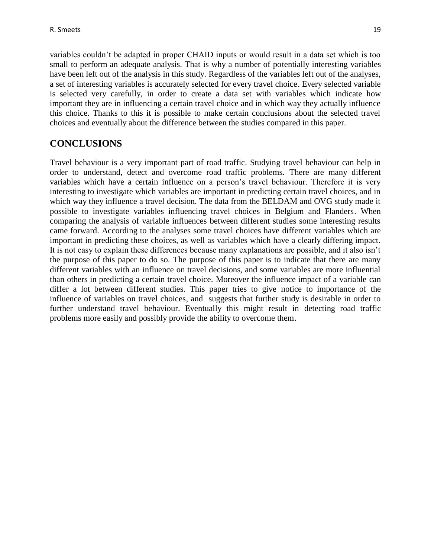variables couldn't be adapted in proper CHAID inputs or would result in a data set which is too small to perform an adequate analysis. That is why a number of potentially interesting variables have been left out of the analysis in this study. Regardless of the variables left out of the analyses, a set of interesting variables is accurately selected for every travel choice. Every selected variable is selected very carefully, in order to create a data set with variables which indicate how important they are in influencing a certain travel choice and in which way they actually influence this choice. Thanks to this it is possible to make certain conclusions about the selected travel choices and eventually about the difference between the studies compared in this paper.

# **CONCLUSIONS**

Travel behaviour is a very important part of road traffic. Studying travel behaviour can help in order to understand, detect and overcome road traffic problems. There are many different variables which have a certain influence on a person's travel behaviour. Therefore it is very interesting to investigate which variables are important in predicting certain travel choices, and in which way they influence a travel decision. The data from the BELDAM and OVG study made it possible to investigate variables influencing travel choices in Belgium and Flanders. When comparing the analysis of variable influences between different studies some interesting results came forward. According to the analyses some travel choices have different variables which are important in predicting these choices, as well as variables which have a clearly differing impact. It is not easy to explain these differences because many explanations are possible, and it also isn't the purpose of this paper to do so. The purpose of this paper is to indicate that there are many different variables with an influence on travel decisions, and some variables are more influential than others in predicting a certain travel choice. Moreover the influence impact of a variable can differ a lot between different studies. This paper tries to give notice to importance of the influence of variables on travel choices, and suggests that further study is desirable in order to further understand travel behaviour. Eventually this might result in detecting road traffic problems more easily and possibly provide the ability to overcome them.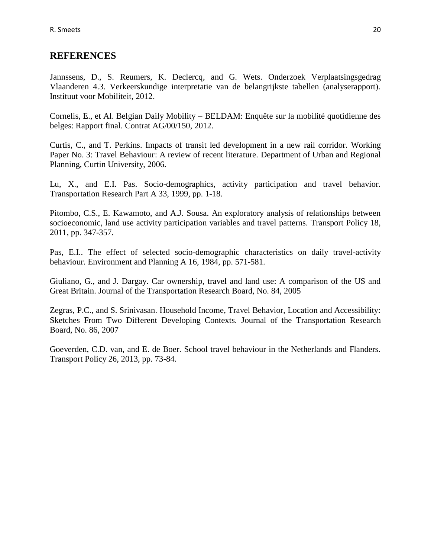### **REFERENCES**

Jannssens, D., S. Reumers, K. Declercq, and G. Wets. Onderzoek Verplaatsingsgedrag Vlaanderen 4.3. Verkeerskundige interpretatie van de belangrijkste tabellen (analyserapport). Instituut voor Mobiliteit, 2012.

Cornelis, E., et Al. Belgian Daily Mobility – BELDAM: Enquête sur la mobilité quotidienne des belges: Rapport final. Contrat AG/00/150, 2012.

Curtis, C., and T. Perkins. Impacts of transit led development in a new rail corridor. Working Paper No. 3: Travel Behaviour: A review of recent literature. Department of Urban and Regional Planning, Curtin University, 2006.

Lu, X., and E.I. Pas. Socio-demographics, activity participation and travel behavior. Transportation Research Part A 33, 1999, pp. 1-18.

Pitombo, C.S., E. Kawamoto, and A.J. Sousa. An exploratory analysis of relationships between socioeconomic, land use activity participation variables and travel patterns. Transport Policy 18, 2011, pp. 347-357.

Pas, E.I.. The effect of selected socio-demographic characteristics on daily travel-activity behaviour. Environment and Planning A 16, 1984, pp. 571-581.

Giuliano, G., and J. Dargay. Car ownership, travel and land use: A comparison of the US and Great Britain. Journal of the Transportation Research Board, No. 84, 2005

Zegras, P.C., and S. Srinivasan. Household Income, Travel Behavior, Location and Accessibility: Sketches From Two Different Developing Contexts. Journal of the Transportation Research Board, No. 86, 2007

Goeverden, C.D. van, and E. de Boer. School travel behaviour in the Netherlands and Flanders. Transport Policy 26, 2013, pp. 73-84.